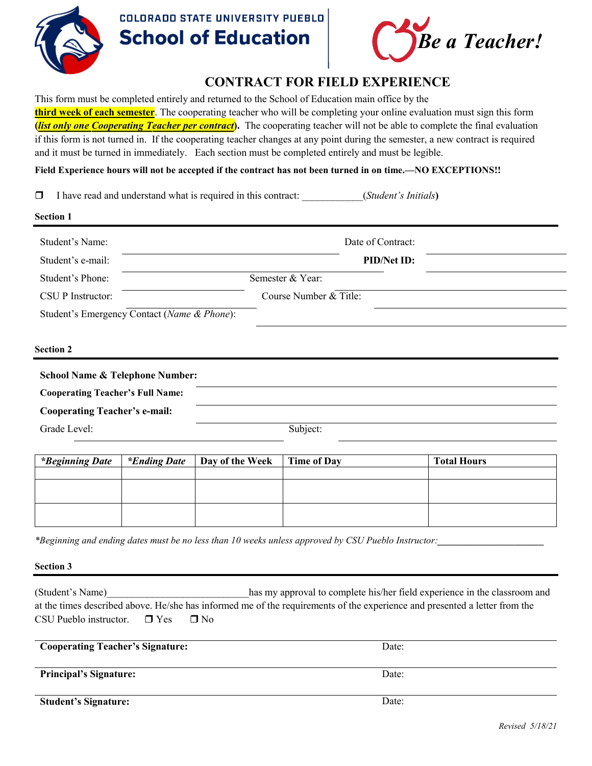

## **COLORADO STATE UNIVERSITY PUEBLO School of Education**



## **CONTRACT FOR FIELD EXPERIENCE**

This form must be completed entirely and returned to the School of Education main office by the **third week of each semester**. The cooperating teacher who will be completing your online evaluation must sign this form **(***list only one Cooperating Teacher per contract***).** The cooperating teacher will not be able to complete the final evaluation if this form is not turned in. If the cooperating teacher changes at any point during the semester, a new contract is required and it must be turned in immediately. Each section must be completed entirely and must be legible.

**Field Experience hours will not be accepted if the contract has not been turned in on time.—NO EXCEPTIONS!!**

I have read and understand what is required in this contract: \_\_\_\_\_\_\_\_\_\_\_\_(*Student's Initials***)**

| Date of Contract:      |
|------------------------|
| PID/Net ID:            |
| Semester & Year:       |
| Course Number & Title: |
|                        |
|                        |
|                        |
|                        |
|                        |
| Subject:               |
|                        |

| <i>*Beginning Date</i> | <i>Ending Date</i> | Day of the Week   Time of Day | <b>Total Hours</b> |
|------------------------|--------------------|-------------------------------|--------------------|
|                        |                    |                               |                    |
|                        |                    |                               |                    |
|                        |                    |                               |                    |
|                        |                    |                               |                    |
|                        |                    |                               |                    |

*\*Beginning and ending dates must be no less than 10 weeks unless approved by CSU Pueblo Instructor:\_\_\_\_\_\_\_\_\_\_\_\_\_\_\_\_\_\_\_\_\_\_*

**Section 3** 

(Student's Name) has my approval to complete his/her field experience in the classroom and at the times described above. He/she has informed me of the requirements of the experience and presented a letter from the CSU Pueblo instructor.  $\Box$  Yes  $\Box$  No

| <b>Cooperating Teacher's Signature:</b> | Date: |
|-----------------------------------------|-------|
| <b>Principal's Signature:</b>           | Date: |
| <b>Student's Signature:</b>             | Date: |